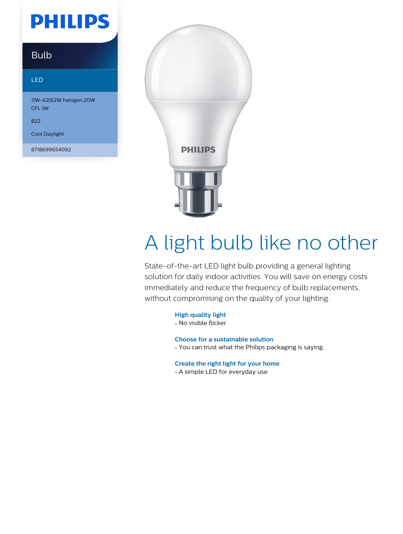## **PHILIPS**

### Bulb

#### LED

11W-62(62W halogen,20W CFL )W

B22

Cool Daylight

8718699654092



# A light bulb like no other

State-of-the-art LED light bulb providing a general lighting solution for daily indoor activities. You will save on energy costs immediately and reduce the frequency of bulb replacements, without compromising on the quality of your lighting.

**High quality light**

• No visible flicker

**Choose for a sustainable solution**

• You can trust what the Philips packaging is saying.

**Create the right light for your home**

• A simple LED for everyday use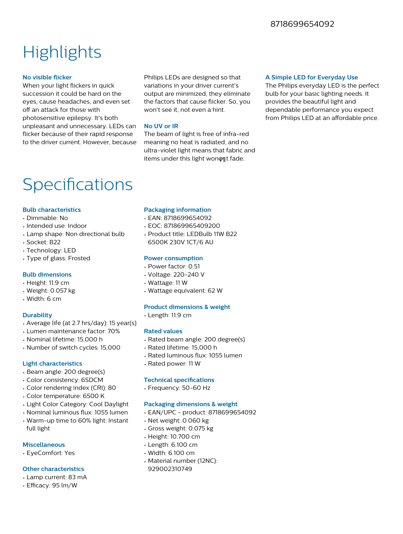### **Highlights**

#### **No visible flicker**

When your light flickers in quick succession it could be hard on the eyes, cause headaches, and even set off an attack for those with photosensitive epilepsy. It's both unpleasant and unnecessary. LEDs can flicker because of their rapid response to the driver current. However, because

Philips LEDs are designed so that variations in your driver current's output are minimized, they eliminate the factors that cause flicker. So, you won't see it, not even a hint.

#### **No UV or IR**

The beam of light is free of infra-red meaning no heat is radiated, and no ultra-violet light means that fabric and items under this light wonont fade.

#### **A Simple LED for Everyday Use**

The Philips everyday LED is the perfect bulb for your basic lighting needs. It provides the beautiful light and dependable performance you expect from Philips LED at an affordable price.

### Specifications

#### **Bulb characteristics**

- Dimmable: No
- Intended use: Indoor
- Lamp shape: Non directional bulb
- Socket: B22
- Technology: LED
- Type of glass: Frosted

#### **Bulb dimensions**

- Height: 11.9 cm
- Weight: 0.057 kg
- Width: 6 cm

#### **Durability**

- Average life (at 2.7 hrs/day): 15 year(s)
- Lumen maintenance factor: 70%
- Nominal lifetime: 15,000 h
- Number of switch cycles: 15,000

#### **Light characteristics**

- Beam angle: 200 degree(s)
- Color consistency: 6SDCM
- Color rendering index (CRI): 80
- Color temperature: 6500 K
- Light Color Category: Cool Daylight
- Nominal luminous flux: 1055 lumen
- Warm-up time to 60% light: Instant full light

#### **Miscellaneous**

• EyeComfort: Yes

#### **Other characteristics**

- Lamp current: 83 mA
- $\cdot$  Efficacy: 95 lm/W

#### **Packaging information**

- EAN: 8718699654092
- EOC: 871869965409200
- Product title: LEDBulb 11W B22 6500K 230V 1CT/6 AU

#### **Power consumption**

- Power factor: 0.51
- Voltage: 220-240 V
- Wattage: 11 W
- Wattage equivalent: 62 W

#### **Product dimensions & weight**

• Length: 11.9 cm

#### **Rated values**

- Rated beam angle: 200 degree(s)
- Rated lifetime: 15,000 h
- Rated luminous flux: 1055 lumen
- Rated power: 11 W

#### **Technical specifications**

• Frequency: 50-60 Hz

#### **Packaging dimensions & weight**

- EAN/UPC product: 8718699654092
- Net weight: 0.060 kg
- Gross weight: 0.075 kg
- Height: 10.700 cm
- Length: 6.100 cm
- Width: 6.100 cm
- Material number (12NC): 929002310749